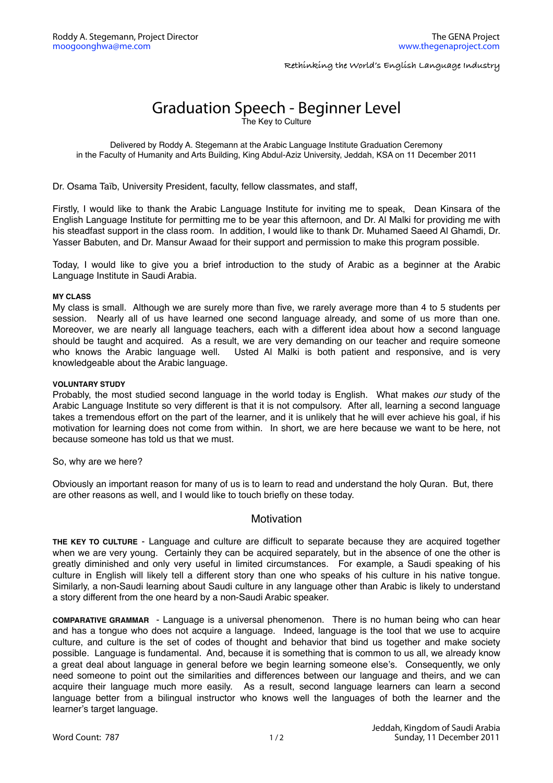**Rethinking the World's English Language Industry**

## Graduation Speech - Beginner Level

The Key to Culture

Delivered by Roddy A. Stegemann at the Arabic Language Institute Graduation Ceremony in the Faculty of Humanity and Arts Building, King Abdul-Aziz University, Jeddah, KSA on 11 December 2011

Dr. Osama Taïb, University President, faculty, fellow classmates, and staff,

Firstly, I would like to thank the Arabic Language Institute for inviting me to speak, Dean Kinsara of the English Language Institute for permitting me to be year this afternoon, and Dr. Al Malki for providing me with his steadfast support in the class room. In addition, I would like to thank Dr. Muhamed Saeed Al Ghamdi, Dr. Yasser Babuten, and Dr. Mansur Awaad for their support and permission to make this program possible.

Today, I would like to give you a brief introduction to the study of Arabic as a beginner at the Arabic Language Institute in Saudi Arabia.

## **MY CLASS**

My class is small. Although we are surely more than five, we rarely average more than 4 to 5 students per session. Nearly all of us have learned one second language already, and some of us more than one. Moreover, we are nearly all language teachers, each with a different idea about how a second language should be taught and acquired. As a result, we are very demanding on our teacher and require someone who knows the Arabic language well. Usted Al Malki is both patient and responsive, and is very knowledgeable about the Arabic language.

## **VOLUNTARY STUDY**

Probably, the most studied second language in the world today is English. What makes *our* study of the Arabic Language Institute so very different is that it is not compulsory. After all, learning a second language takes a tremendous effort on the part of the learner, and it is unlikely that he will ever achieve his goal, if his motivation for learning does not come from within. In short, we are here because we want to be here, not because someone has told us that we must.

So, why are we here?

Obviously an important reason for many of us is to learn to read and understand the holy Quran. But, there are other reasons as well, and I would like to touch briefly on these today.

## Motivation

**THE KEY TO CULTURE** - Language and culture are difficult to separate because they are acquired together when we are very young. Certainly they can be acquired separately, but in the absence of one the other is greatly diminished and only very useful in limited circumstances. For example, a Saudi speaking of his culture in English will likely tell a different story than one who speaks of his culture in his native tongue. Similarly, a non-Saudi learning about Saudi culture in any language other than Arabic is likely to understand a story different from the one heard by a non-Saudi Arabic speaker.

**COMPARATIVE GRAMMAR** - Language is a universal phenomenon. There is no human being who can hear and has a tongue who does not acquire a language. Indeed, language is the tool that we use to acquire culture, and culture is the set of codes of thought and behavior that bind us together and make society possible. Language is fundamental. And, because it is something that is common to us all, we already know a great deal about language in general before we begin learning someone else's. Consequently, we only need someone to point out the similarities and differences between our language and theirs, and we can acquire their language much more easily. As a result, second language learners can learn a second language better from a bilingual instructor who knows well the languages of both the learner and the learner's target language.